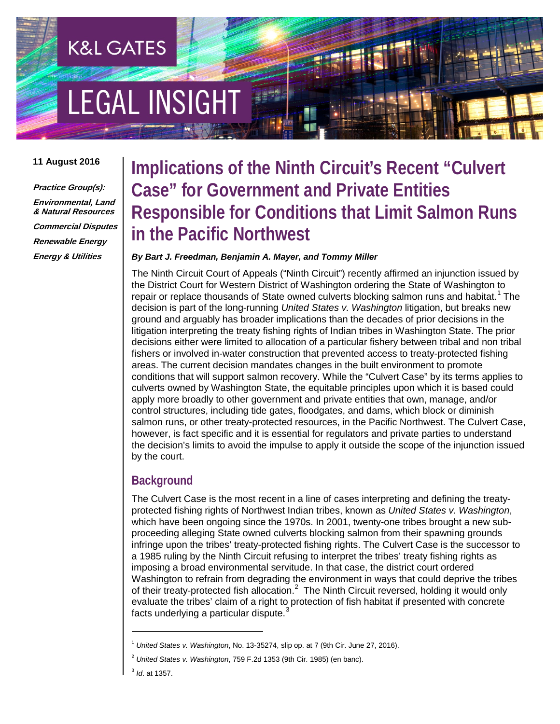# **EGAL INSIGHT**

**K&L GATES** 

#### **11 August 2016**

**Practice Group(s): Environmental, Land & Natural Resources Commercial Disputes Renewable Energy Energy & Utilities**

### **Implications of the Ninth Circuit's Recent "Culvert Case" for Government and Private Entities Responsible for Conditions that Limit Salmon Runs in the Pacific Northwest**

#### *By Bart J. Freedman, Benjamin A. Mayer, and Tommy Miller*

The Ninth Circuit Court of Appeals ("Ninth Circuit") recently affirmed an injunction issued by the District Court for Western District of Washington ordering the State of Washington to repair or replace thousands of State owned culverts blocking salmon runs and habitat.<sup>[1](#page-0-0)</sup> The decision is part of the long-running *United States v. Washington* litigation, but breaks new ground and arguably has broader implications than the decades of prior decisions in the litigation interpreting the treaty fishing rights of Indian tribes in Washington State. The prior decisions either were limited to allocation of a particular fishery between tribal and non tribal fishers or involved in-water construction that prevented access to treaty-protected fishing areas. The current decision mandates changes in the built environment to promote conditions that will support salmon recovery. While the "Culvert Case" by its terms applies to culverts owned by Washington State, the equitable principles upon which it is based could apply more broadly to other government and private entities that own, manage, and/or control structures, including tide gates, floodgates, and dams, which block or diminish salmon runs, or other treaty-protected resources, in the Pacific Northwest. The Culvert Case, however, is fact specific and it is essential for regulators and private parties to understand the decision's limits to avoid the impulse to apply it outside the scope of the injunction issued by the court.

#### **Background**

The Culvert Case is the most recent in a line of cases interpreting and defining the treatyprotected fishing rights of Northwest Indian tribes, known as *United States v. Washington*, which have been ongoing since the 1970s. In 2001, twenty-one tribes brought a new subproceeding alleging State owned culverts blocking salmon from their spawning grounds infringe upon the tribes' treaty-protected fishing rights. The Culvert Case is the successor to a 1985 ruling by the Ninth Circuit refusing to interpret the tribes' treaty fishing rights as imposing a broad environmental servitude. In that case, the district court ordered Washington to refrain from degrading the environment in ways that could deprive the tribes of their treaty-protected fish allocation.<sup>[2](#page-0-1)</sup> The Ninth Circuit reversed, holding it would only evaluate the tribes' claim of a right to protection of fish habitat if presented with concrete facts underlying a particular dispute.<sup>[3](#page-0-2)</sup>

l

<span id="page-0-0"></span><sup>1</sup> *United States v. Washington*, No. 13-35274, slip op. at 7 (9th Cir. June 27, 2016).

<span id="page-0-1"></span><sup>2</sup> *United States v. Washington*, 759 F.2d 1353 (9th Cir. 1985) (en banc).

<span id="page-0-2"></span><sup>3</sup> *Id*. at 1357.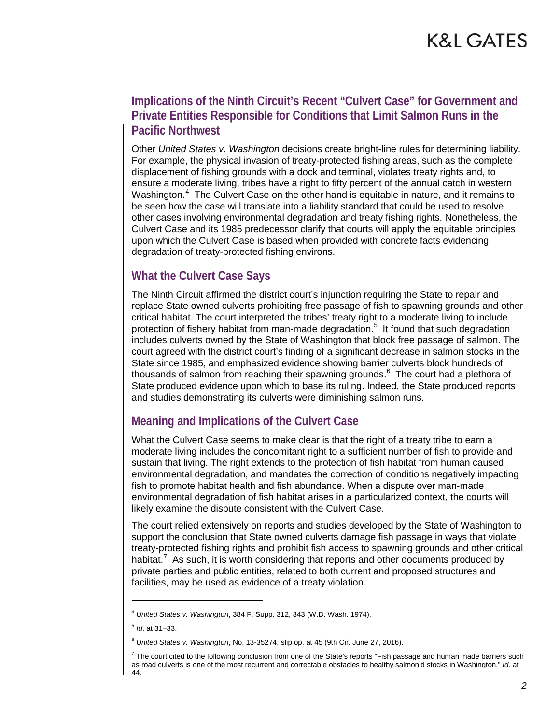### **Implications of the Ninth Circuit's Recent "Culvert Case" for Government and Private Entities Responsible for Conditions that Limit Salmon Runs in the Pacific Northwest**

Other *United States v. Washington* decisions create bright-line rules for determining liability. For example, the physical invasion of treaty-protected fishing areas, such as the complete displacement of fishing grounds with a dock and terminal, violates treaty rights and, to ensure a moderate living, tribes have a right to fifty percent of the annual catch in western Washington.<sup>[4](#page-1-0)</sup> The Culvert Case on the other hand is equitable in nature, and it remains to be seen how the case will translate into a liability standard that could be used to resolve other cases involving environmental degradation and treaty fishing rights. Nonetheless, the Culvert Case and its 1985 predecessor clarify that courts will apply the equitable principles upon which the Culvert Case is based when provided with concrete facts evidencing degradation of treaty-protected fishing environs.

### **What the Culvert Case Says**

The Ninth Circuit affirmed the district court's injunction requiring the State to repair and replace State owned culverts prohibiting free passage of fish to spawning grounds and other critical habitat. The court interpreted the tribes' treaty right to a moderate living to include protection of fishery habitat from man-made degradation.<sup>[5](#page-1-1)</sup> It found that such degradation includes culverts owned by the State of Washington that block free passage of salmon. The court agreed with the district court's finding of a significant decrease in salmon stocks in the State since 1985, and emphasized evidence showing barrier culverts block hundreds of thousands of salmon from reaching their spawning grounds.<sup>[6](#page-1-2)</sup> The court had a plethora of State produced evidence upon which to base its ruling. Indeed, the State produced reports and studies demonstrating its culverts were diminishing salmon runs.

### **Meaning and Implications of the Culvert Case**

What the Culvert Case seems to make clear is that the right of a treaty tribe to earn a moderate living includes the concomitant right to a sufficient number of fish to provide and sustain that living. The right extends to the protection of fish habitat from human caused environmental degradation, and mandates the correction of conditions negatively impacting fish to promote habitat health and fish abundance. When a dispute over man-made environmental degradation of fish habitat arises in a particularized context, the courts will likely examine the dispute consistent with the Culvert Case.

The court relied extensively on reports and studies developed by the State of Washington to support the conclusion that State owned culverts damage fish passage in ways that violate treaty-protected fishing rights and prohibit fish access to spawning grounds and other critical habitat.<sup>[7](#page-1-3)</sup> As such, it is worth considering that reports and other documents produced by private parties and public entities, related to both current and proposed structures and facilities, may be used as evidence of a treaty violation.

l

<span id="page-1-0"></span><sup>4</sup> *United States v. Washington*, 384 F. Supp. 312, 343 (W.D. Wash. 1974).

<span id="page-1-1"></span><sup>5</sup> *Id*. at 31–33.

<span id="page-1-2"></span><sup>6</sup> *United States v. Washington*, No. 13-35274, slip op. at 45 (9th Cir. June 27, 2016).

<span id="page-1-3"></span> $<sup>7</sup>$  The court cited to the following conclusion from one of the State's reports "Fish passage and human made barriers such</sup> as road culverts is one of the most recurrent and correctable obstacles to healthy salmonid stocks in Washington." *Id.* at 44.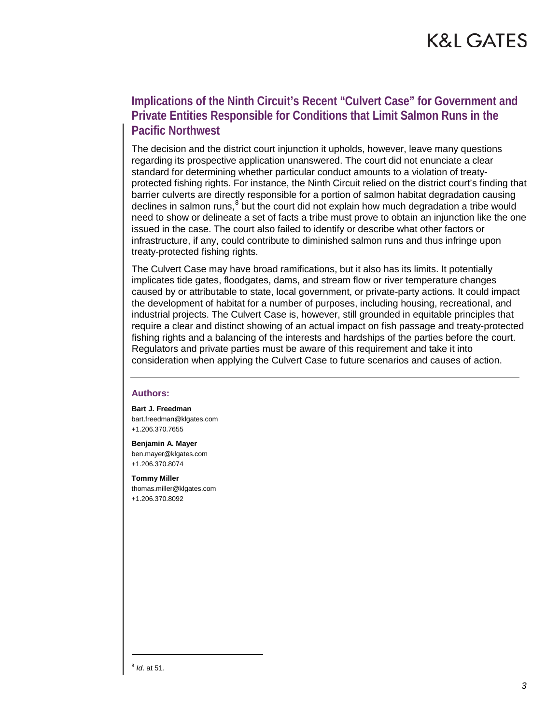# K&L GATES

#### **Implications of the Ninth Circuit's Recent "Culvert Case" for Government and Private Entities Responsible for Conditions that Limit Salmon Runs in the Pacific Northwest**

The decision and the district court injunction it upholds, however, leave many questions regarding its prospective application unanswered. The court did not enunciate a clear standard for determining whether particular conduct amounts to a violation of treatyprotected fishing rights. For instance, the Ninth Circuit relied on the district court's finding that barrier culverts are directly responsible for a portion of salmon habitat degradation causing declines in salmon runs, $8$  but the court did not explain how much degradation a tribe would need to show or delineate a set of facts a tribe must prove to obtain an injunction like the one issued in the case. The court also failed to identify or describe what other factors or infrastructure, if any, could contribute to diminished salmon runs and thus infringe upon treaty-protected fishing rights.

The Culvert Case may have broad ramifications, but it also has its limits. It potentially implicates tide gates, floodgates, dams, and stream flow or river temperature changes caused by or attributable to state, local government, or private-party actions. It could impact the development of habitat for a number of purposes, including housing, recreational, and industrial projects. The Culvert Case is, however, still grounded in equitable principles that require a clear and distinct showing of an actual impact on fish passage and treaty-protected fishing rights and a balancing of the interests and hardships of the parties before the court. Regulators and private parties must be aware of this requirement and take it into consideration when applying the Culvert Case to future scenarios and causes of action.

#### **Authors:**

**Bart J. Freedman** bart.freedman@klgates.com +1.206.370.7655

**Benjamin A. Mayer** ben.mayer@klgates.com +1.206.370.8074

**Tommy Miller** thomas.miller@klgates.com +1.206.370.8092

<span id="page-2-0"></span><sup>8</sup> *Id*. at 51.

 $\overline{\phantom{a}}$